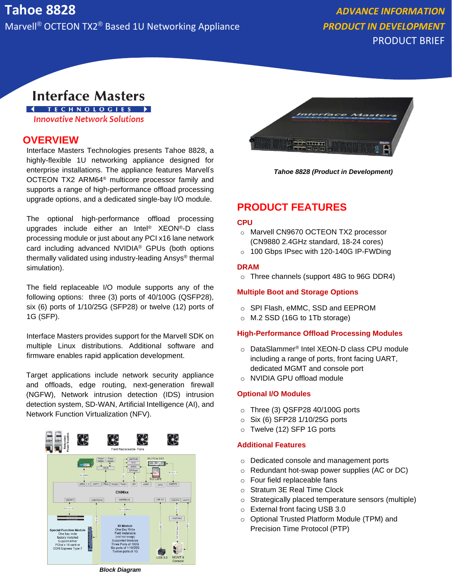PRODUCT BRIEF

# **Interface Masters**

**I** TECHNOLOGIES > **Innovative Network Solutions** 

## **OVERVIEW**

Interface Masters Technologies presents Tahoe 8828, a highly-flexible 1U networking appliance designed for enterprise installations. The appliance features Marvell's OCTEON TX2 ARM64® multicore processor family and supports a range of high-performance offload processing upgrade options, and a dedicated single-bay I/O module.

The optional high-performance offload processing upgrades include either an Intel® XEON®-D class processing module or just about any PCI x16 lane network card including advanced NVIDIA® GPUs (both options thermally validated using industry-leading Ansys® thermal simulation).

The field replaceable I/O module supports any of the following options: three (3) ports of 40/100G (QSFP28), six (6) ports of 1/10/25G (SFP28) or twelve (12) ports of 1G (SFP).

Interface Masters provides support for the Marvell SDK on multiple Linux distributions. Additional software and firmware enables rapid application development.

Target applications include network security appliance and offloads, edge routing, next-generation firewall (NGFW), Network intrusion detection (IDS) intrusion detection system, SD-WAN, Artificial Intelligence (AI), and Network Function Virtualization (NFV).





*Tahoe 8828 (Product in Development)*

# **PRODUCT FEATURES**

#### **CPU**

- o Marvell CN9670 OCTEON TX2 processor (CN9880 2.4GHz standard, 18-24 cores)
- o 100 Gbps IPsec with 120-140G IP-FWDing

#### **DRAM**

o Three channels (support 48G to 96G DDR4)

#### **Multiple Boot and Storage Options**

- o SPI Flash, eMMC, SSD and EEPROM
- o M.2 SSD (16G to 1Tb storage)

#### **High-Performance Offload Processing Modules**

- o DataSlammer® Intel XEON-D class CPU module including a range of ports, front facing UART, dedicated MGMT and console port
- o NVIDIA GPU offload module

#### **Optional I/O Modules**

- o Three (3) QSFP28 40/100G ports
- $\circ$  Six (6) SFP28 1/10/25G ports
- o Twelve (12) SFP 1G ports

#### **Additional Features**

- o Dedicated console and management ports
- o Redundant hot-swap power supplies (AC or DC)
- o Four field replaceable fans
- o Stratum 3E Real Time Clock
- o Strategically placed temperature sensors (multiple)
- o External front facing USB 3.0
- o Optional Trusted Platform Module (TPM) and Precision Time Protocol (PTP)

*Block Diagram*